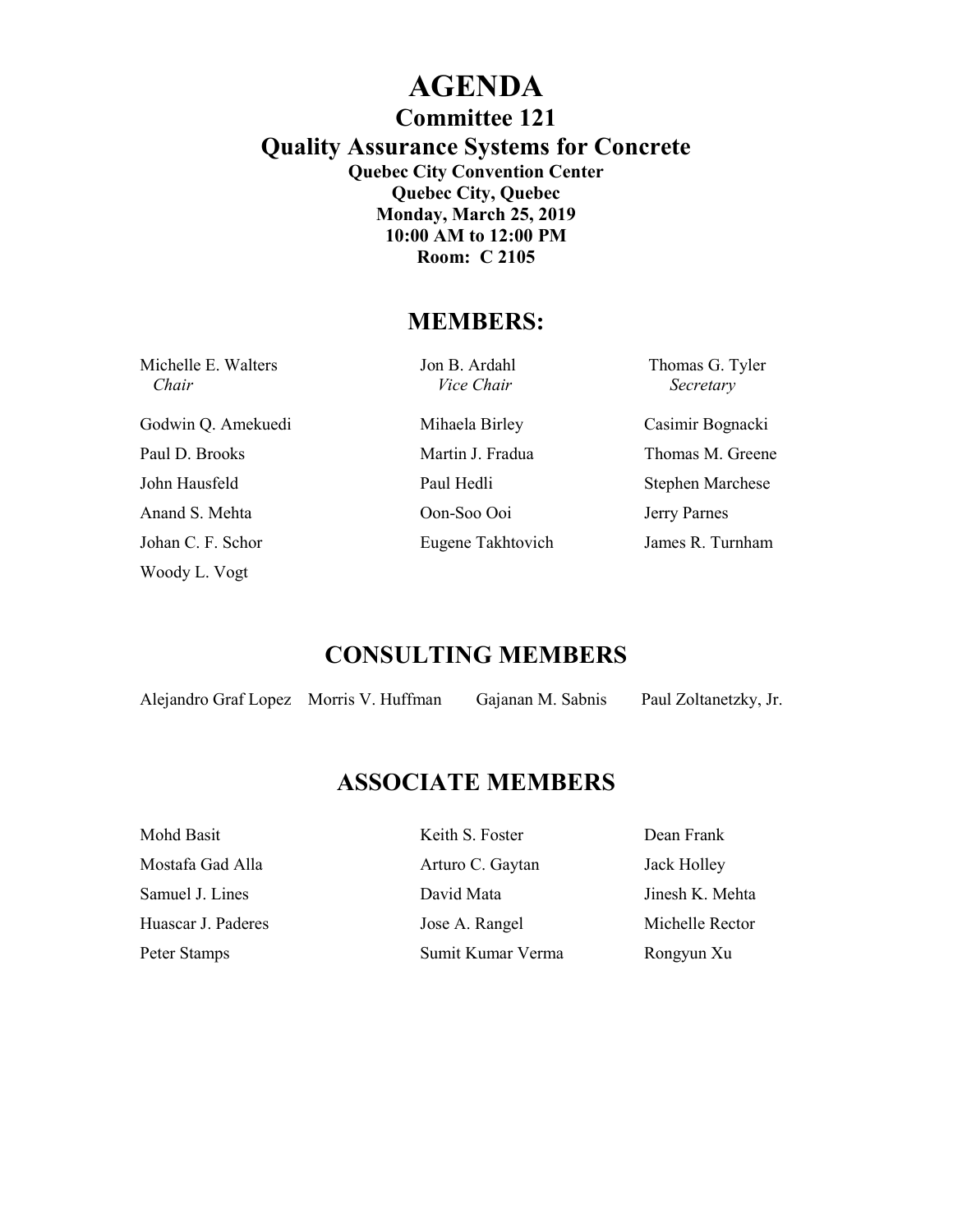# **AGENDA**

**Committee 121** 

**Quality Assurance Systems for Concrete** 

**Quebec City Convention Center Quebec City, Quebec Monday, March 25, 2019 10:00 AM to 12:00 PM Room: C 2105** 

### **MEMBERS:**

| Michelle E. Walters<br>Chair | Jon B. Ardahl<br>Vice Chair | Thomas G. Tyler<br>Secretary |
|------------------------------|-----------------------------|------------------------------|
| Godwin Q. Amekuedi           | Mihaela Birley              | Casimir Bognacki             |
| Paul D. Brooks               | Martin J. Fradua            | Thomas M. Greene             |
| John Hausfeld                | Paul Hedli                  | <b>Stephen Marchese</b>      |
| Anand S. Mehta               | Oon-Soo Ooi                 | Jerry Parnes                 |
| Johan C. F. Schor            | Eugene Takhtovich           | James R. Turnham             |
| Woody L. Vogt                |                             |                              |

### **CONSULTING MEMBERS**

| Alejandro Graf Lopez |  |
|----------------------|--|
|----------------------|--|

Morris V. Huffman Gajanan M. Sabnis Paul Zoltanetzky, Jr.

### **ASSOCIATE MEMBERS**

| Mohd Basit         | Keith S. Foster   | Dean Frank      |
|--------------------|-------------------|-----------------|
| Mostafa Gad Alla   | Arturo C. Gaytan  | Jack Holley     |
| Samuel J. Lines    | David Mata        | Jinesh K. Mehta |
| Huascar J. Paderes | Jose A. Rangel    | Michelle Rector |
| Peter Stamps       | Sumit Kumar Verma | Rongyun Xu      |